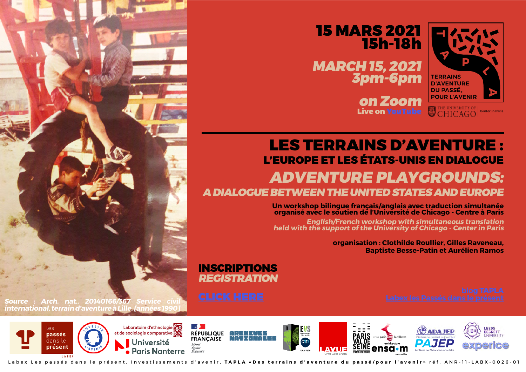

MARCH 15, 2021 3pm-6pm



# LES TERRAINS D'AVENTURE : L'EUROPE ET LES ÉTATS-UNIS EN DIALOGUE ADVENTURE PLAYGROUNDS: A DIALOGUE BETWEEN THE UNITED STATES AND EUROPE

Un workshop bilingue français/anglais avec traduction simultanée organisé avec le soutien de l'Université de Chicago - Centre à Paris

on Zoom Live on [YouTube](https://www.youtube.com/channel/UCzBW8v4nMrw7KBthcJDmr3g/videos)

English/French workshop with simultaneous translation held with the support of the University of Chicago - Center in Paris

organisation : Clothilde Roullier, Gilles Raveneau, Baptiste Besse-Patin et Aurélien Ramos

## INSCRIPTIONS REGISTRATION

Source : Arch. nat., 20140166/367 Service civil international, terrain d'aventure à Lille, lannées 199



Labex Les passés dans le présent, Investissements d'avenir, TAPLA «Des terrains d'aventure du passé/pour l'avenir» réf. ANR-11-LABX-0026-01